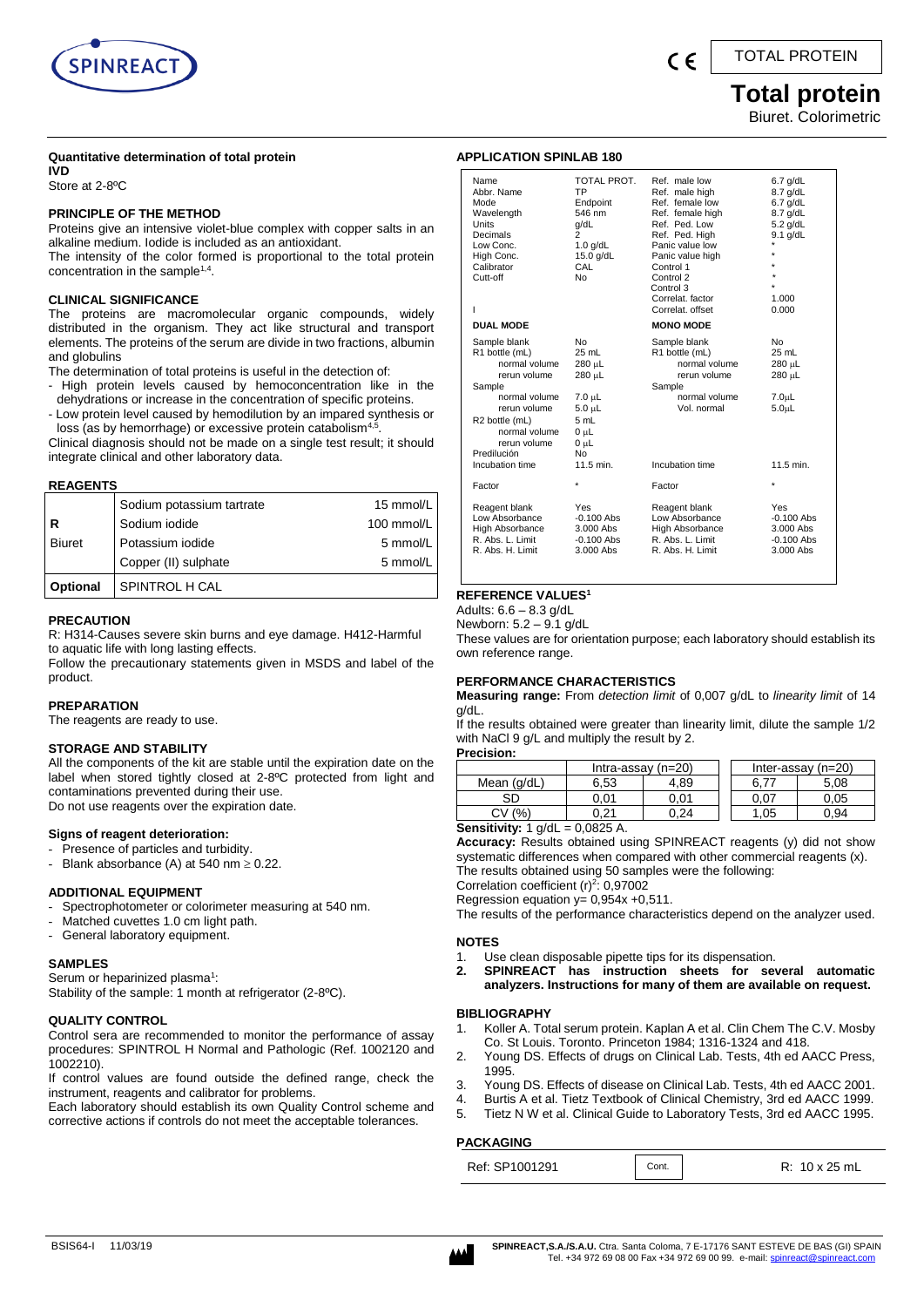

### TOTAL PROTEIN

### **Total protein**  Biuret. Colorimetric

#### **Quantitative determination of total protein**

**IVD** Store at 2-8ºC

#### **PRINCIPLE OF THE METHOD**

Proteins give an intensive violet-blue complex with copper salts in an alkaline medium. Iodide is included as an antioxidant.

The intensity of the color formed is proportional to the total protein concentration in the sample<sup>1,4</sup>.

#### **CLINICAL SIGNIFICANCE**

The proteins are macromolecular organic compounds, widely distributed in the organism. They act like structural and transport elements. The proteins of the serum are divide in two fractions, albumin and globulins

The determination of total proteins is useful in the detection of:

- High protein levels caused by hemoconcentration like in the dehydrations or increase in the concentration of specific proteins.
- Low protein level caused by hemodilution by an impared synthesis or loss (as by hemorrhage) or excessive protein catabolism<sup>4,</sup> .

Clinical diagnosis should not be made on a single test result; it should integrate clinical and other laboratory data.

#### **REAGENTS**

|                 | Sodium potassium tartrate | 15 mmol/L  |
|-----------------|---------------------------|------------|
| l R             | Sodium iodide             | 100 mmol/L |
| <b>Biuret</b>   | Potassium iodide          | 5 mmol/L   |
|                 | Copper (II) sulphate      | 5 mmol/L   |
| <b>Optional</b> | SPINTROL H CAL            |            |

#### **PRECAUTION**

R: H314-Causes severe skin burns and eye damage. H412-Harmful to aquatic life with long lasting effects.

Follow the precautionary statements given in MSDS and label of the product.

#### **PREPARATION**

The reagents are ready to use.

#### **STORAGE AND STABILITY**

All the components of the kit are stable until the expiration date on the label when stored tightly closed at 2-8ºC protected from light and contaminations prevented during their use. Do not use reagents over the expiration date.

#### **Signs of reagent deterioration:**

- Presence of particles and turbidity.
- Blank absorbance (A) at 540 nm  $\geq$  0.22.

#### **ADDITIONAL EQUIPMENT**

- Spectrophotometer or colorimeter measuring at 540 nm.
- Matched cuvettes 1.0 cm light path.
- General laboratory equipment.

#### **SAMPLES**

Serum or heparinized plasma<sup>1</sup>:

Stability of the sample: 1 month at refrigerator (2-8ºC).

#### **QUALITY CONTROL**

Control sera are recommended to monitor the performance of assay procedures: SPINTROL H Normal and Pathologic (Ref. 1002120 and 1002210).

If control values are found outside the defined range, check the instrument, reagents and calibrator for problems.

Each laboratory should establish its own Quality Control scheme and corrective actions if controls do not meet the acceptable tolerances.

### **APPLICATION SPINLAB 180**

| Name<br>Abbr. Name<br>Mode<br>Wavelength<br>Units<br>Decimals<br>Low Conc.<br>High Conc.<br>Calibrator<br>Cutt-off<br>ı                                                      | TOTAL PROT.<br>TP<br>Endpoint<br>546 nm<br>q/dL<br>$\overline{c}$<br>$1.0$ g/dL<br>15.0 g/dL<br>CAL<br>N <sub>0</sub> | Ref. male low<br>Ref. male high<br>Ref. female low<br>Ref. female high<br>Ref. Ped. Low<br>Ref. Ped. High<br>Panic value low<br>Panic value high<br>Control 1<br>Control 2<br>Control 3<br>Correlat, factor<br>Correlat. offset | $6.7$ g/dL<br>8.7 g/dL<br>$6.7$ g/dL<br>8.7 g/dL<br>$5.2$ g/dL<br>$9.1$ g/dL<br>٠<br>1.000<br>0.000 |
|------------------------------------------------------------------------------------------------------------------------------------------------------------------------------|-----------------------------------------------------------------------------------------------------------------------|---------------------------------------------------------------------------------------------------------------------------------------------------------------------------------------------------------------------------------|-----------------------------------------------------------------------------------------------------|
| <b>DUAL MODE</b>                                                                                                                                                             |                                                                                                                       | <b>MONO MODE</b>                                                                                                                                                                                                                |                                                                                                     |
| Sample blank<br>R1 bottle (mL)<br>normal volume<br>rerun volume<br>Sample<br>normal volume<br>rerun volume<br>R2 bottle (mL)<br>normal volume<br>rerun volume<br>Predilución | N <sub>0</sub><br>25 mL<br>280 µL<br>280 µL<br>$7.0 \mu L$<br>$5.0 \mu L$<br>5 mL<br>0 uL<br>0 µL<br>N <sub>0</sub>   | Sample blank<br>R1 bottle (mL)<br>normal volume<br>rerun volume<br>Sample<br>normal volume<br>Vol. normal                                                                                                                       | No<br>25 mL<br>280 µL<br>280 µL<br>7.0 <sub>µ</sub> L<br>5.0 <sub>µ</sub>                           |
| Incubation time                                                                                                                                                              | 11.5 min.                                                                                                             | Incubation time                                                                                                                                                                                                                 | 11.5 min.                                                                                           |
| Factor                                                                                                                                                                       | ×                                                                                                                     | Factor                                                                                                                                                                                                                          | $\star$                                                                                             |
| Reagent blank<br>Low Absorbance<br>High Absorbance<br>R. Abs. L. Limit<br>R. Abs. H. Limit                                                                                   | Yes<br>$-0.100$ Abs<br>3.000 Abs<br>$-0.100$ Abs<br>3.000 Abs                                                         | Reagent blank<br>Low Absorbance<br>High Absorbance<br>R. Abs. L. Limit<br>R. Abs. H. Limit                                                                                                                                      | Yes<br>$-0.100$ Abs<br>3.000 Abs<br>$-0.100$ Abs<br>3.000 Abs                                       |

### **REFERENCE VALUES<sup>1</sup>**

Adults: 6.6 – 8.3 g/dL

Newborn: 5.2 – 9.1 g/dL

These values are for orientation purpose; each laboratory should establish its own reference range.

#### **PERFORMANCE CHARACTERISTICS**

**Measuring range:** From *detection limit* of 0,007 g/dL to *linearity limit* of 14 g/dL.

If the results obtained were greater than linearity limit, dilute the sample 1/2 with NaCl 9 g/L and multiply the result by 2. **Precision:**

| . ו שטופונ  |                      |      |  |      |                      |  |
|-------------|----------------------|------|--|------|----------------------|--|
|             | Intra-assay $(n=20)$ |      |  |      | Inter-assay $(n=20)$ |  |
| Mean (g/dL) | 6.53                 | 4.89 |  |      | 5.08                 |  |
| SD          | ა.01                 | 0.01 |  | 0.07 | 0.05                 |  |
| $\%$        | ነ 21                 | ).24 |  | .05  | ).94                 |  |

#### **Sensitivity:** 1 g/dL = 0,0825 A.

**Accuracy:** Results obtained using SPINREACT reagents (y) did not show systematic differences when compared with other commercial reagents (x). The results obtained using 50 samples were the following:

Correlation coefficient  $(r)^2$ : 0,97002 Regression equation  $y= 0,954x +0,511$ .

The results of the performance characteristics depend on the analyzer used.

#### **NOTES**

- 1. Use clean disposable pipette tips for its dispensation.
- **2. SPINREACT has instruction sheets for several automatic analyzers. Instructions for many of them are available on request.**

#### **BIBLIOGRAPHY**

- 1. Koller A. Total serum protein. Kaplan A et al. Clin Chem The C.V. Mosby Co. St Louis. Toronto. Princeton 1984; 1316-1324 and 418.
- 2. Young DS. Effects of drugs on Clinical Lab. Tests, 4th ed AACC Press, 1995.
- 3. Young DS. Effects of disease on Clinical Lab. Tests, 4th ed AACC 2001.
- 4. Burtis A et al. Tietz Textbook of Clinical Chemistry, 3rd ed AACC 1999.
- 5. Tietz N W et al. Clinical Guide to Laboratory Tests, 3rd ed AACC 1995.

#### **PACKAGING**

| Ref: SP1001291 | Cont. | R: 10 x 25 mL |
|----------------|-------|---------------|
|----------------|-------|---------------|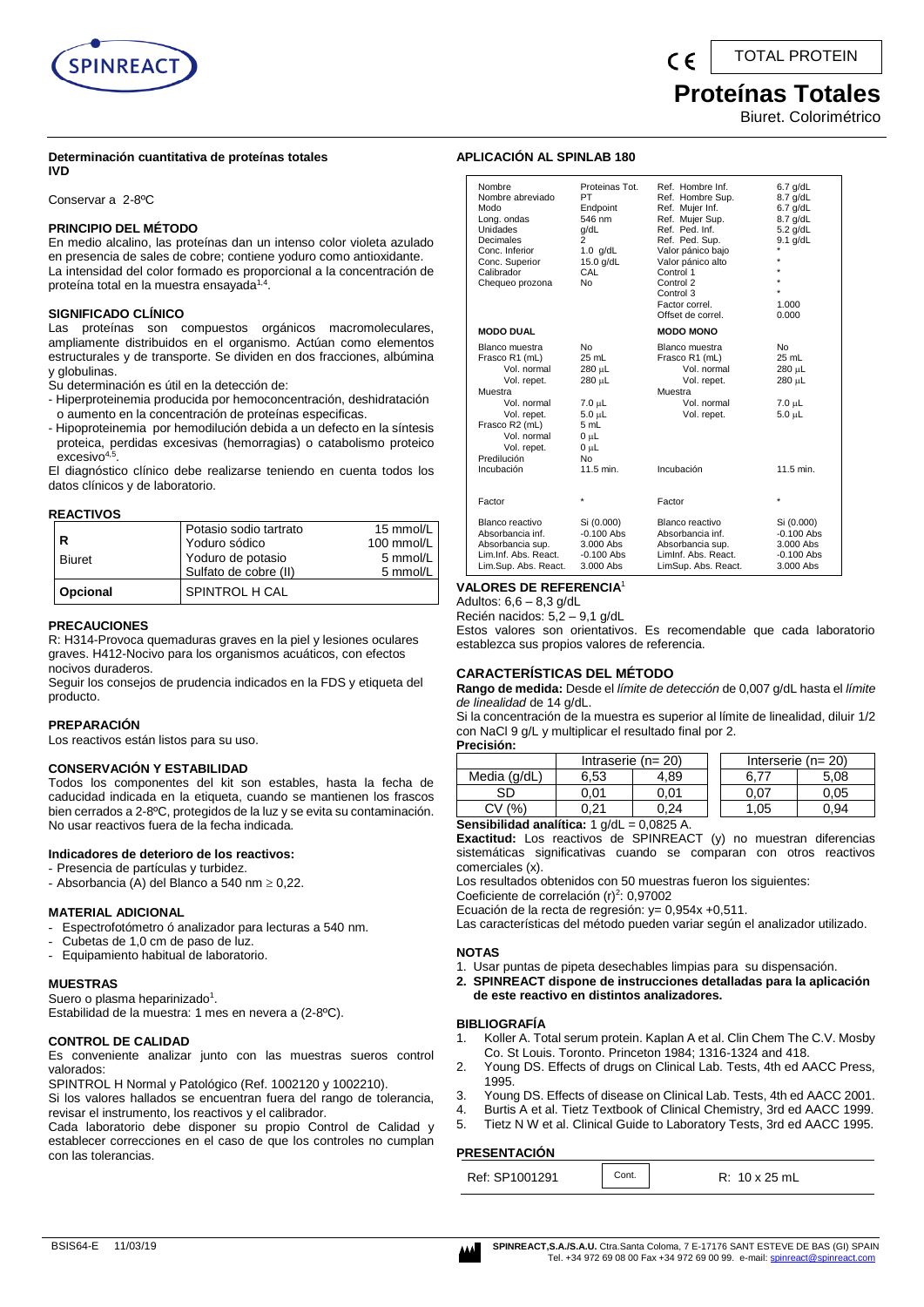

# **Proteínas Totales**

Biuret. Colorimétrico

#### **Determinación cuantitativa de proteínas totales IVD**

Conservar a 2-8ºC

#### **PRINCIPIO DEL MÉTODO**

En medio alcalino, las proteínas dan un intenso color violeta azulado en presencia de sales de cobre; contiene yoduro como antioxidante. La intensidad del color formado es proporcional a la concentración de proteína total en la muestra ensayada<sup>1,4</sup>.

#### **SIGNIFICADO CLÍNICO**

Las proteínas son compuestos orgánicos macromoleculares, ampliamente distribuidos en el organismo. Actúan como elementos estructurales y de transporte. Se dividen en dos fracciones, albúmina y globulinas.

Su determinación es útil en la detección de:

- Hiperproteinemia producida por hemoconcentración, deshidratación o aumento en la concentración de proteínas especificas.
- Hipoproteinemia por hemodilución debida a un defecto en la síntesis proteica, perdidas excesivas (hemorragias) o catabolismo proteico excesivo<sup>4,5</sup> .

El diagnóstico clínico debe realizarse teniendo en cuenta todos los datos clínicos y de laboratorio.

#### **REACTIVOS**

|               | Potasio sodio tartrato<br>Yoduro sódico    | 15 mmol/L<br>100 mmol/L |
|---------------|--------------------------------------------|-------------------------|
| <b>Biuret</b> | Yoduro de potasio<br>Sulfato de cobre (II) | 5 mmol/L<br>5 mmol/L    |
| Opcional      | SPINTROL H CAL                             |                         |

#### **PRECAUCIONES**

R: H314-Provoca quemaduras graves en la piel y lesiones oculares graves. H412-Nocivo para los organismos acuáticos, con efectos nocivos duraderos.

Seguir los consejos de prudencia indicados en la FDS y etiqueta del producto.

#### **PREPARACIÓN**

Los reactivos están listos para su uso.

#### **CONSERVACIÓN Y ESTABILIDAD**

Todos los componentes del kit son estables, hasta la fecha de caducidad indicada en la etiqueta, cuando se mantienen los frascos bien cerrados a 2-8ºC, protegidos de la luz y se evita su contaminación. No usar reactivos fuera de la fecha indicada.

#### **Indicadores de deterioro de los reactivos:**

- Presencia de partículas y turbidez.
- Absorbancia (A) del Blanco a 540 nm  $\geq 0.22$ .

#### **MATERIAL ADICIONAL**

- Espectrofotómetro ó analizador para lecturas a 540 nm.
- Cubetas de 1,0 cm de paso de luz.
- Equipamiento habitual de laboratorio.

#### **MUESTRAS**

Suero o plasma heparinizado<sup>1</sup>. Estabilidad de la muestra: 1 mes en nevera a (2-8ºC).

#### **CONTROL DE CALIDAD**

Es conveniente analizar junto con las muestras sueros control valorados:

SPINTROL H Normal y Patológico (Ref. 1002120 y 1002210).

Si los valores hallados se encuentran fuera del rango de tolerancia, revisar el instrumento, los reactivos y el calibrador.

Cada laboratorio debe disponer su propio Control de Calidad y establecer correcciones en el caso de que los controles no cumplan con las tolerancias.

### **APLICACIÓN AL SPINLAB 180**

| Nombre<br>Nombre abreviado<br>Modo<br>Long. ondas<br>Unidades<br>Decimales<br>Conc. Inferior<br>Conc. Superior<br>Calibrador<br>Chequeo prozona                                      | Proteinas Tot.<br>PT<br>Endpoint<br>546 nm<br>q/dL<br>$\overline{2}$<br>$1.0$ g/dL<br>$15.0$ g/dL<br>CAL<br>N٥ | Ref. Hombre Inf.<br>Ref. Hombre Sup.<br>Ref. Mujer Inf.<br>Ref. Mujer Sup.<br>Ref. Ped. Inf.<br>Ref. Ped. Sup.<br>Valor pánico bajo<br>Valor pánico alto<br>Control 1<br>Control 2<br>Control 3<br>Factor correl.<br>Offset de correl. | $6.7$ g/dL<br>8.7 g/dL<br>$6.7$ g/dL<br>8.7 g/dL<br>$5.2$ g/dL<br>$9.1$ g/dL<br>$\star$<br>$\star$<br>1.000<br>0.000 |
|--------------------------------------------------------------------------------------------------------------------------------------------------------------------------------------|----------------------------------------------------------------------------------------------------------------|----------------------------------------------------------------------------------------------------------------------------------------------------------------------------------------------------------------------------------------|----------------------------------------------------------------------------------------------------------------------|
| <b>MODO DUAL</b>                                                                                                                                                                     |                                                                                                                | <b>MODO MONO</b>                                                                                                                                                                                                                       |                                                                                                                      |
| Blanco muestra<br>Frasco R1 (mL)<br>Vol. normal<br>Vol. repet.<br>Muestra<br>Vol. normal<br>Vol. repet.<br>Frasco R2 (mL)<br>Vol. normal<br>Vol. repet.<br>Predilución<br>Incubación | No<br>25 mL<br>280 µL<br>280 µL<br>$7.0 \mu L$<br>5.0 µL<br>5 mL<br>$0 \mu L$<br>$0 \mu L$<br>No<br>11.5 min.  | Blanco muestra<br>Frasco R1 (mL)<br>Vol. normal<br>Vol. repet.<br>Muestra<br>Vol. normal<br>Vol. repet.<br>Incubación                                                                                                                  | <b>No</b><br>25 mL<br>280 µL<br>280 µL<br>7.0 µL<br>$5.0 \mu L$<br>11.5 min.                                         |
| Factor                                                                                                                                                                               | ×                                                                                                              | Factor                                                                                                                                                                                                                                 | $\star$                                                                                                              |
| Blanco reactivo<br>Absorbancia inf.<br>Absorbancia sup.<br>Lim.Inf. Abs. React.<br>Lim.Sup. Abs. React.                                                                              | Si (0.000)<br>$-0.100$ Abs<br>3.000 Abs<br>$-0.100$ Abs<br>3.000 Abs                                           | Blanco reactivo<br>Absorbancia inf.<br>Absorbancia sup.<br>Liminf. Abs. React.<br>LimSup. Abs. React.                                                                                                                                  | Si (0.000)<br>$-0.100$ Abs<br>3.000 Abs<br>$-0.100$ Abs<br>3.000 Abs                                                 |

#### **VALORES DE REFERENCIA**<sup>1</sup>

Adultos:  $6,6 - 8,3$  g/dL

Recién nacidos: 5,2 – 9,1 g/dL

Estos valores son orientativos. Es recomendable que cada laboratorio establezca sus propios valores de referencia.

#### **CARACTERÍSTICAS DEL MÉTODO**

**Rango de medida:** Desde el *límite de detección* de 0,007 g/dL hasta el *límite de linealidad* de 14 g/dL.

Si la concentración de la muestra es superior al límite de linealidad, diluir 1/2 con NaCl 9 g/L y multiplicar el resultado final por 2.

| Precisión:   |      |                         |     |                         |
|--------------|------|-------------------------|-----|-------------------------|
|              |      | Intraserie ( $n = 20$ ) |     | Interserie ( $n = 20$ ) |
| Media (g/dL) | 6.53 | 4.89                    |     | 5.08                    |
| SD           | ን.01 | 0.01                    |     | 0.05                    |
|              |      | 24                      | .05 | 0.94                    |
|              |      | 0.0005                  |     |                         |

**Sensibilidad analítica:** 1 g/dL = 0,0825 A.

**Exactitud:** Los reactivos de SPINREACT (y) no muestran diferencias sistemáticas significativas cuando se comparan con otros reactivos comerciales (x).

Los resultados obtenidos con 50 muestras fueron los siguientes:

Coeficiente de correlación (r)<sup>2</sup>: 0,97002

Ecuación de la recta de regresión:  $y = 0.954x +0.511$ .

Las características del método pueden variar según el analizador utilizado.

#### **NOTAS**

- 1. Usar puntas de pipeta desechables limpias para su dispensación.
- **2. SPINREACT dispone de instrucciones detalladas para la aplicación de este reactivo en distintos analizadores.**

#### **BIBLIOGRAFÍA**

- 1. Koller A. Total serum protein. Kaplan A et al. Clin Chem The C.V. Mosby Co. St Louis. Toronto. Princeton 1984; 1316-1324 and 418.
- 2. Young DS. Effects of drugs on Clinical Lab. Tests, 4th ed AACC Press, 1995.
- 3. Young DS. Effects of disease on Clinical Lab. Tests, 4th ed AACC 2001.
- 4. Burtis A et al. Tietz Textbook of Clinical Chemistry, 3rd ed AACC 1999.
- 5. Tietz N W et al. Clinical Guide to Laboratory Tests, 3rd ed AACC 1995.

#### **PRESENTACIÓN**

| Ref: SP1001291 | Cont. | R: 10 x 25 mL |
|----------------|-------|---------------|
|----------------|-------|---------------|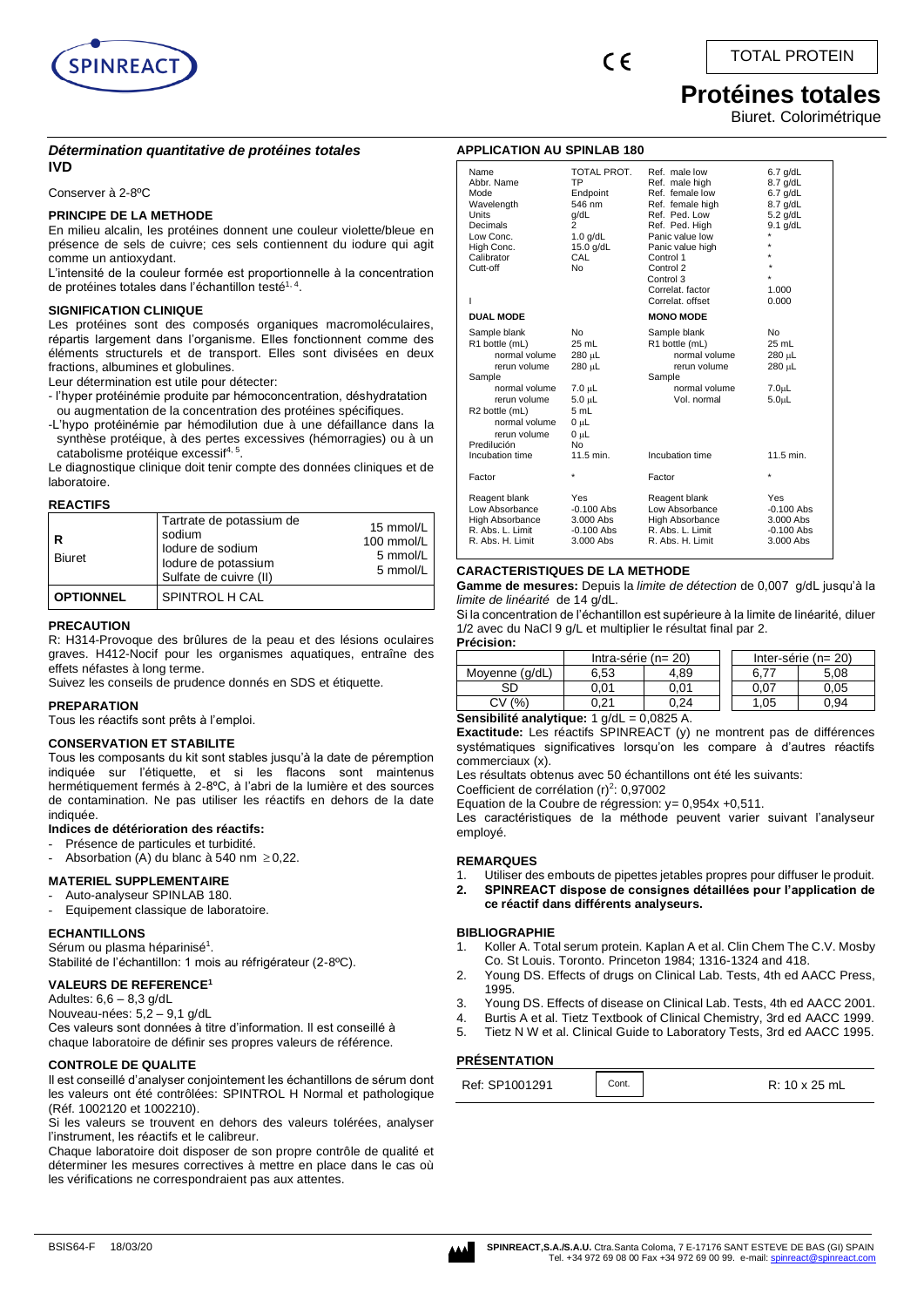

## **Protéines totales**

Biuret. Colorimétrique

#### *Détermination quantitative de protéines totales* **IVD**

#### Conserver à 2-8ºC

#### **PRINCIPE DE LA METHODE**

En milieu alcalin, les protéines donnent une couleur violette/bleue en présence de sels de cuivre; ces sels contiennent du iodure qui agit comme un antioxydant.

L'intensité de la couleur formée est proportionnelle à la concentration de protéines totales dans l'échantillon testé<sup>1, 4</sup>.

#### **SIGNIFICATION CLINIQUE**

Les protéines sont des composés organiques macromoléculaires, répartis largement dans l'organisme. Elles fonctionnent comme des éléments structurels et de transport. Elles sont divisées en deux fractions, albumines et globulines.

Leur détermination est utile pour détecter:

- l'hyper protéinémie produite par hémoconcentration, déshydratation ou augmentation de la concentration des protéines spécifiques.
- -L'hypo protéinémie par hémodilution due à une défaillance dans la synthèse protéique, à des pertes excessives (hémorragies) ou à un catabolisme protéique excessif<sup>4, 5</sup>.

Le diagnostique clinique doit tenir compte des données cliniques et de laboratoire.

#### **REACTIFS**

| R<br>Biuret      | Tartrate de potassium de<br>sodium<br>lodure de sodium<br>lodure de potassium<br>Sulfate de cuivre (II) | 15 mmol/L<br>100 mmol/L<br>5 mmol/L<br>5 mmol/L |
|------------------|---------------------------------------------------------------------------------------------------------|-------------------------------------------------|
| <b>OPTIONNEL</b> | SPINTROL H CAL                                                                                          |                                                 |

#### **PRECAUTION**

R: H314-Provoque des brûlures de la peau et des lésions oculaires graves. H412-Nocif pour les organismes aquatiques, entraîne des effets néfastes à long terme.

Suivez les conseils de prudence donnés en SDS et étiquette.

#### **PREPARATION**

Tous les réactifs sont prêts à l'emploi.

#### **CONSERVATION ET STABILITE**

Tous les composants du kit sont stables jusqu'à la date de péremption indiquée sur l'étiquette, et si les flacons sont maintenus hermétiquement fermés à 2-8ºC, à l'abri de la lumière et des sources de contamination. Ne pas utiliser les réactifs en dehors de la date indiquée.

#### **Indices de détérioration des réactifs:**

- Présence de particules et turbidité.
- Absorbation (A) du blanc à 540 nm  $\geq$  0,22.

#### **MATERIEL SUPPLEMENTAIRE**

- Auto-analyseur SPINLAB 180.
- Equipement classique de laboratoire.

#### **ECHANTILLONS**

Sérum ou plasma héparinisé $^1$ . Stabilité de l'échantillon: 1 mois au réfrigérateur (2-8ºC).

### **VALEURS DE REFERENCE<sup>1</sup>**

Adultes:  $6.6 - 8.3$  g/dL

Nouveau-nées: 5,2 – 9,1 g/dL Ces valeurs sont données à titre d'information. Il est conseillé à

chaque laboratoire de définir ses propres valeurs de référence.

#### **CONTROLE DE QUALITE**

Il est conseillé d'analyser conjointement les échantillons de sérum dont les valeurs ont été contrôlées: SPINTROL H Normal et pathologique (Réf. 1002120 et 1002210).

Si les valeurs se trouvent en dehors des valeurs tolérées, analyser l'instrument, les réactifs et le calibreur.

Chaque laboratoire doit disposer de son propre contrôle de qualité et déterminer les mesures correctives à mettre en place dans le cas où les vérifications ne correspondraient pas aux attentes.

| <b>APPLICATION AU SPINLAB 180</b>                                                                                                                                                               |                                                                                                                                |                                                                                                                                                                                                                                 |                                                                                                                  |  |
|-------------------------------------------------------------------------------------------------------------------------------------------------------------------------------------------------|--------------------------------------------------------------------------------------------------------------------------------|---------------------------------------------------------------------------------------------------------------------------------------------------------------------------------------------------------------------------------|------------------------------------------------------------------------------------------------------------------|--|
| Name<br>Abbr. Name<br>Mode<br>Wavelength<br><b>Units</b><br>Decimals<br>Low Conc.<br>High Conc.<br>Calibrator<br>Cutt-off<br>L                                                                  | TOTAL PROT.<br><b>TP</b><br>Endpoint<br>546 nm<br>g/dL<br>2<br>$1.0$ g/dL<br>15.0 g/dL<br>CAL<br>No                            | Ref. male low<br>Ref. male high<br>Ref. female low<br>Ref. female high<br>Ref. Ped. Low<br>Ref. Ped. High<br>Panic value low<br>Panic value high<br>Control 1<br>Control 2<br>Control 3<br>Correlat, factor<br>Correlat, offset | $6.7$ g/dL<br>$8.7$ g/dL<br>$6.7$ g/dL<br>8.7 g/dL<br>$5.2$ g/dL<br>$9.1$ g/dL<br>$\star$<br>÷<br>1.000<br>0.000 |  |
| <b>DUAL MODE</b>                                                                                                                                                                                |                                                                                                                                | <b>MONO MODE</b>                                                                                                                                                                                                                |                                                                                                                  |  |
| Sample blank<br>R1 bottle (mL)<br>normal volume<br>rerun volume<br>Sample<br>normal volume<br>rerun volume<br>R2 bottle (mL)<br>normal volume<br>rerun volume<br>Predilución<br>Incubation time | No<br>25 mL<br>280 µL<br>280 µL<br>$7.0 \mu L$<br>$5.0 \mu L$<br>5 mL<br>$0 \mu L$<br>$0 \mu L$<br>N <sub>0</sub><br>11.5 min. | Sample blank<br>R1 bottle (mL)<br>normal volume<br>rerun volume<br>Sample<br>normal volume<br>Vol. normal<br>Incubation time                                                                                                    | <b>No</b><br>25 mL<br>280 µL<br>280 µL<br>7.0 <sub>µ</sub> L<br>5.0 <sub>µ</sub><br>11.5 min.                    |  |
| Factor                                                                                                                                                                                          | ÷                                                                                                                              | Factor                                                                                                                                                                                                                          | $\star$                                                                                                          |  |
| Reagent blank<br>Low Absorbance<br>High Absorbance<br>R. Abs. L. Limit<br>R. Abs. H. Limit                                                                                                      | <b>Yes</b><br>$-0.100$ Abs<br>3.000 Abs<br>$-0.100$ Abs<br>3.000 Abs                                                           | Reagent blank<br>Low Absorbance<br>High Absorbance<br>R. Abs. L. Limit<br>R. Abs. H. Limit                                                                                                                                      | Yes<br>$-0.100$ Abs<br>3.000 Abs<br>$-0.100$ Abs<br>3.000 Abs                                                    |  |

#### **CARACTERISTIQUES DE LA METHODE**

**Gamme de mesures:** Depuis la *limite de détection* de 0,007 g/dL jusqu'à la *limite de linéarité* de 14 g/dL.

Si la concentration de l'échantillon est supérieure à la limite de linéarité, diluer 1/2 avec du NaCl 9 g/L et multiplier le résultat final par 2.

**Précision:** Intra-série (n= 20) Inter-série (n= 20) Moyenne (g/dL) 6,53 4,89 6,77 5,08 SD 0,01 0,01 0,07 0,05  $CV(%)$  0,21 0,24 1,05 0,94

**Sensibilité analytique:** 1 g/dL = 0,0825 A.

**Exactitude:** Les réactifs SPINREACT (y) ne montrent pas de différences systématiques significatives lorsqu'on les compare à d'autres réactifs commerciaux (x).

Les résultats obtenus avec 50 échantillons ont été les suivants:

Coefficient de corrélation  $(r)^2$ : 0,97002

Equation de la Coubre de régression: y= 0,954x +0,511.

Les caractéristiques de la méthode peuvent varier suivant l'analyseur employé.

#### **REMARQUES**

1. Utiliser des embouts de pipettes jetables propres pour diffuser le produit.<br>2. SPINREACT dispose de consignes détaillées pour l'application de **2. SPINREACT dispose de consignes détaillées pour l'application de ce réactif dans différents analyseurs.**

#### **BIBLIOGRAPHIE**

- 1. Koller A. Total serum protein. Kaplan A et al. Clin Chem The C.V. Mosby Co. St Louis. Toronto. Princeton 1984; 1316-1324 and 418.
- 2. Young DS. Effects of drugs on Clinical Lab. Tests, 4th ed AACC Press, 1995.
- 3. Young DS. Effects of disease on Clinical Lab. Tests, 4th ed AACC 2001.
- 4. Burtis A et al. Tietz Textbook of Clinical Chemistry, 3rd ed AACC 1999.
- 5. Tietz N W et al. Clinical Guide to Laboratory Tests, 3rd ed AACC 1995.

#### **PRÉSENTATION**

| Ref: SP1001291 | Cont. | R: 10 x 25 mL |
|----------------|-------|---------------|
|                |       |               |